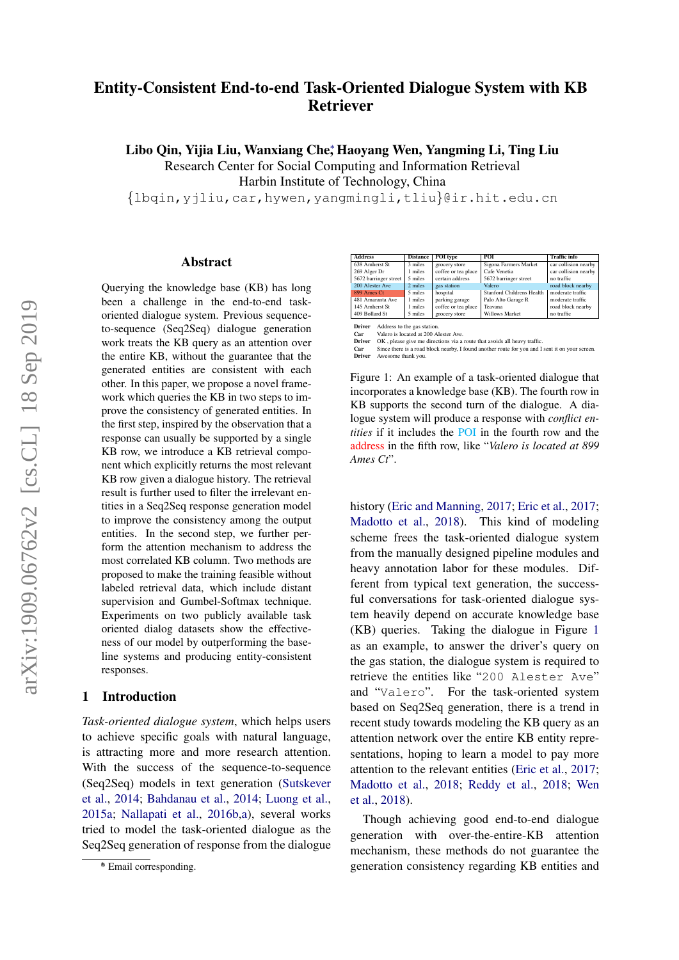# Entity-Consistent End-to-end Task-Oriented Dialogue System with KB Retriever

Libo Qin, Yijia Liu, Wanxiang Che; Haoyang Wen, Yangming Li, Ting Liu Research Center for Social Computing and Information Retrieval

Harbin Institute of Technology, China

{lbqin,yjliu,car,hywen,yangmingli,tliu}@ir.hit.edu.cn

#### Abstract

Querying the knowledge base (KB) has long been a challenge in the end-to-end taskoriented dialogue system. Previous sequenceto-sequence (Seq2Seq) dialogue generation work treats the KB query as an attention over the entire KB, without the guarantee that the generated entities are consistent with each other. In this paper, we propose a novel framework which queries the KB in two steps to improve the consistency of generated entities. In the first step, inspired by the observation that a response can usually be supported by a single KB row, we introduce a KB retrieval component which explicitly returns the most relevant KB row given a dialogue history. The retrieval result is further used to filter the irrelevant entities in a Seq2Seq response generation model to improve the consistency among the output entities. In the second step, we further perform the attention mechanism to address the most correlated KB column. Two methods are proposed to make the training feasible without labeled retrieval data, which include distant supervision and Gumbel-Softmax technique. Experiments on two publicly available task oriented dialog datasets show the effectiveness of our model by outperforming the baseline systems and producing entity-consistent responses.

#### 1 Introduction

*Task-oriented dialogue system*, which helps users to achieve specific goals with natural language, is attracting more and more research attention. With the success of the sequence-to-sequence (Seq2Seq) models in text generation [\(Sutskever](#page-9-0) [et al.,](#page-9-0) [2014;](#page-9-0) [Bahdanau et al.,](#page-8-0) [2014;](#page-8-0) [Luong et al.,](#page-8-1) [2015a;](#page-8-1) [Nallapati et al.,](#page-8-2) [2016b](#page-8-2)[,a\)](#page-8-3), several works tried to model the task-oriented dialogue as the Seq2Seq generation of response from the dialogue

<span id="page-0-0"></span>

| <b>Address</b>        | <b>Distance</b> | POI type            | POL                              | <b>Traffic info</b>  |
|-----------------------|-----------------|---------------------|----------------------------------|----------------------|
| 638 Amherst St        | 3 miles         | grocery store       | Sigona Farmers Market            | car collision nearby |
| 269 Alger Dr          | 1 miles         | coffee or tea place | Cafe Venetia                     | car collision nearby |
| 5672 barringer street | 5 miles         | certain address     | 5672 barringer street            | no traffic           |
| 200 Alester Ave       | 2 miles         | gas station         | Valero                           | road block nearby    |
| 899 Ames Ct           | 5 miles         | hospital            | <b>Stanford Childrens Health</b> | moderate traffic     |
| 481 Amaranta Ave      | 1 miles         | parking garage      | Palo Alto Garage R               | moderate traffic     |
| 145 Amherst St        | 1 miles         | coffee or tea place | Teavana                          | road block nearby    |
| 409 Bollard St        | 5 miles         | grocery store       | Willows Market                   | no traffic           |
|                       |                 |                     |                                  |                      |

**Driver** Address to the gas station.<br>**Car** Valero is located at 200 Alester Ave.

Car vatero is tocated at 200 Atseter Ave.<br> **Driver** OK, please give me directions via a route that avoids all heavy traffic.<br> **Car** Since there is a road block nearby, I found another route for you and I sent it on your sc Driver OK, please give me<br>
Car Since there is a road<br>
Driver Awesome thank you.

Figure 1: An example of a task-oriented dialogue that incorporates a knowledge base (KB). The fourth row in KB supports the second turn of the dialogue. A dialogue system will produce a response with *conflict entities* if it includes the POI in the fourth row and the address in the fifth row, like "*Valero is located at 899 Ames Ct*".

history [\(Eric and Manning,](#page-8-4) [2017;](#page-8-4) [Eric et al.,](#page-8-5) [2017;](#page-8-5) [Madotto et al.,](#page-8-6) [2018\)](#page-8-6). This kind of modeling scheme frees the task-oriented dialogue system from the manually designed pipeline modules and heavy annotation labor for these modules. Different from typical text generation, the successful conversations for task-oriented dialogue system heavily depend on accurate knowledge base (KB) queries. Taking the dialogue in Figure [1](#page-0-0) as an example, to answer the driver's query on the gas station, the dialogue system is required to retrieve the entities like "200 Alester Ave" and "Valero". For the task-oriented system based on Seq2Seq generation, there is a trend in recent study towards modeling the KB query as an attention network over the entire KB entity representations, hoping to learn a model to pay more attention to the relevant entities [\(Eric et al.,](#page-8-5) [2017;](#page-8-5) [Madotto et al.,](#page-8-6) [2018;](#page-8-6) [Reddy et al.,](#page-8-7) [2018;](#page-8-7) [Wen](#page-9-1) [et al.,](#page-9-1) [2018\)](#page-9-1).

Though achieving good end-to-end dialogue generation with over-the-entire-KB attention mechanism, these methods do not guarantee the generation consistency regarding KB entities and

<sup>∗</sup> \* Email corresponding.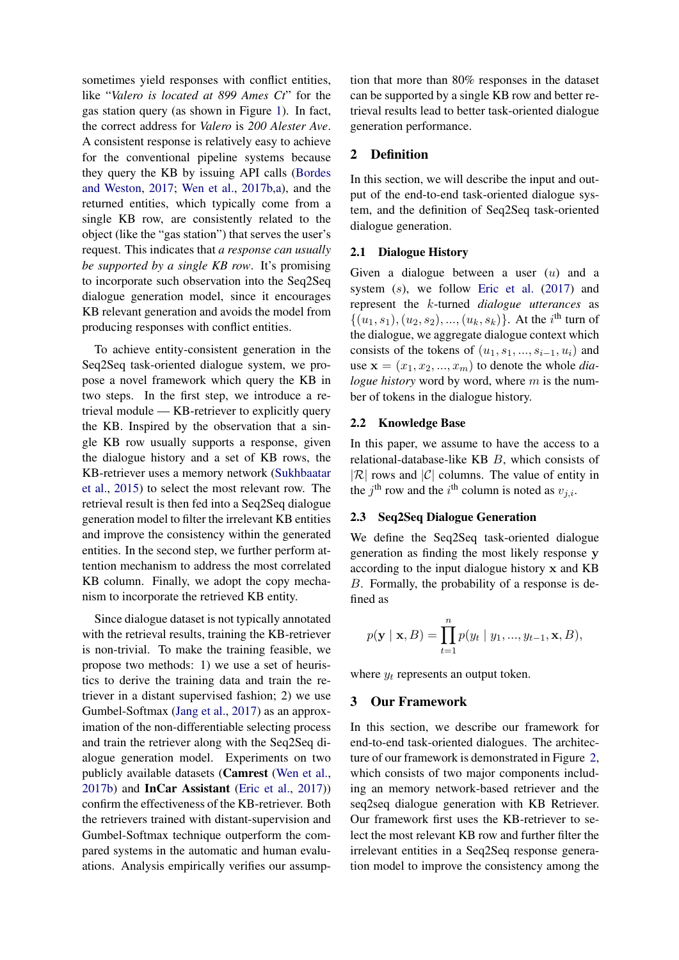sometimes yield responses with conflict entities, like "*Valero is located at 899 Ames Ct*" for the gas station query (as shown in Figure [1\)](#page-0-0). In fact, the correct address for *Valero* is *200 Alester Ave*. A consistent response is relatively easy to achieve for the conventional pipeline systems because they query the KB by issuing API calls [\(Bordes](#page-8-8) [and Weston,](#page-8-8) [2017;](#page-8-8) [Wen et al.,](#page-9-2) [2017b](#page-9-2)[,a\)](#page-9-3), and the returned entities, which typically come from a single KB row, are consistently related to the object (like the "gas station") that serves the user's request. This indicates that *a response can usually be supported by a single KB row*. It's promising to incorporate such observation into the Seq2Seq dialogue generation model, since it encourages KB relevant generation and avoids the model from producing responses with conflict entities.

To achieve entity-consistent generation in the Seq2Seq task-oriented dialogue system, we propose a novel framework which query the KB in two steps. In the first step, we introduce a retrieval module — KB-retriever to explicitly query the KB. Inspired by the observation that a single KB row usually supports a response, given the dialogue history and a set of KB rows, the KB-retriever uses a memory network [\(Sukhbaatar](#page-9-4) [et al.,](#page-9-4) [2015\)](#page-9-4) to select the most relevant row. The retrieval result is then fed into a Seq2Seq dialogue generation model to filter the irrelevant KB entities and improve the consistency within the generated entities. In the second step, we further perform attention mechanism to address the most correlated KB column. Finally, we adopt the copy mechanism to incorporate the retrieved KB entity.

Since dialogue dataset is not typically annotated with the retrieval results, training the KB-retriever is non-trivial. To make the training feasible, we propose two methods: 1) we use a set of heuristics to derive the training data and train the retriever in a distant supervised fashion; 2) we use Gumbel-Softmax [\(Jang et al.,](#page-8-9) [2017\)](#page-8-9) as an approximation of the non-differentiable selecting process and train the retriever along with the Seq2Seq dialogue generation model. Experiments on two publicly available datasets (Camrest [\(Wen et al.,](#page-9-2) [2017b\)](#page-9-2) and InCar Assistant [\(Eric et al.,](#page-8-5) [2017\)](#page-8-5)) confirm the effectiveness of the KB-retriever. Both the retrievers trained with distant-supervision and Gumbel-Softmax technique outperform the compared systems in the automatic and human evaluations. Analysis empirically verifies our assumption that more than 80% responses in the dataset can be supported by a single KB row and better retrieval results lead to better task-oriented dialogue generation performance.

# 2 Definition

In this section, we will describe the input and output of the end-to-end task-oriented dialogue system, and the definition of Seq2Seq task-oriented dialogue generation.

# 2.1 Dialogue History

Given a dialogue between a user  $(u)$  and a system  $(s)$ , we follow [Eric et al.](#page-8-5)  $(2017)$  and represent the k-turned *dialogue utterances* as  $\{(u_1, s_1), (u_2, s_2), ..., (u_k, s_k)\}\.$  At the i<sup>th</sup> turn of the dialogue, we aggregate dialogue context which consists of the tokens of  $(u_1, s_1, ..., s_{i-1}, u_i)$  and use  $\mathbf{x} = (x_1, x_2, ..., x_m)$  to denote the whole *dialogue history* word by word, where m is the number of tokens in the dialogue history.

# 2.2 Knowledge Base

In this paper, we assume to have the access to a relational-database-like KB B, which consists of  $|\mathcal{R}|$  rows and  $|\mathcal{C}|$  columns. The value of entity in the j<sup>th</sup> row and the i<sup>th</sup> column is noted as  $v_{j,i}$ .

# 2.3 Seq2Seq Dialogue Generation

We define the Seq2Seq task-oriented dialogue generation as finding the most likely response y according to the input dialogue history x and KB B. Formally, the probability of a response is defined as

$$
p(\mathbf{y} | \mathbf{x}, B) = \prod_{t=1}^{n} p(y_t | y_1, ..., y_{t-1}, \mathbf{x}, B),
$$

where  $y_t$  represents an output token.

#### 3 Our Framework

In this section, we describe our framework for end-to-end task-oriented dialogues. The architecture of our framework is demonstrated in Figure [2,](#page-2-0) which consists of two major components including an memory network-based retriever and the seq2seq dialogue generation with KB Retriever. Our framework first uses the KB-retriever to select the most relevant KB row and further filter the irrelevant entities in a Seq2Seq response generation model to improve the consistency among the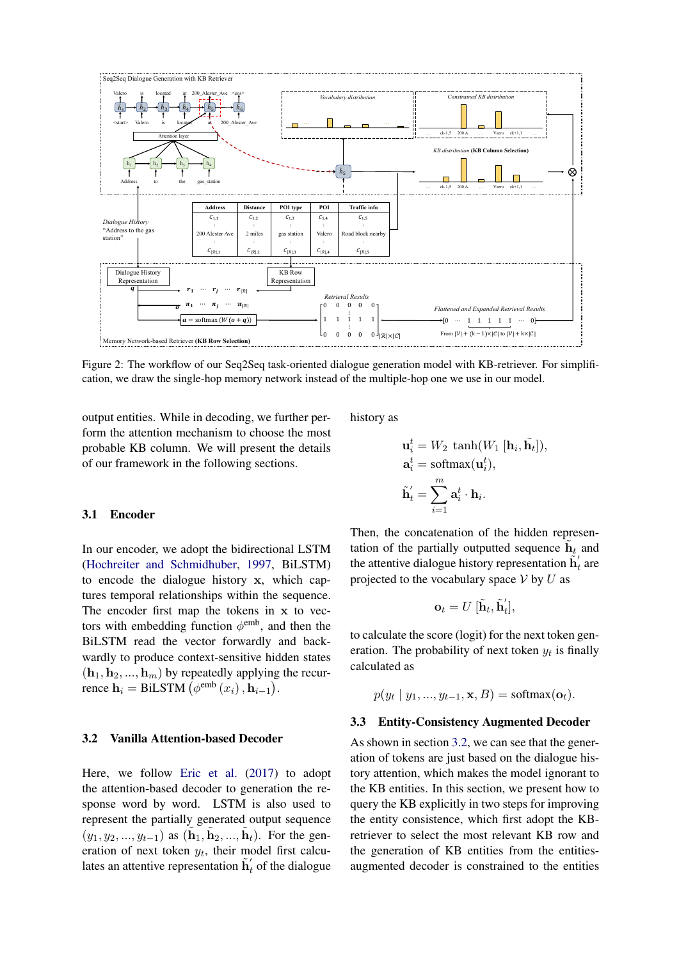<span id="page-2-0"></span>

Figure 2: The workflow of our Seq2Seq task-oriented dialogue generation model with KB-retriever. For simplification, we draw the single-hop memory network instead of the multiple-hop one we use in our model.

output entities. While in decoding, we further perform the attention mechanism to choose the most probable KB column. We will present the details of our framework in the following sections.

history as

$$
\mathbf{u}_i^t = W_2 \, \tanh(W_1 \, [\mathbf{h}_i, \tilde{\mathbf{h}}_t]),
$$

$$
\mathbf{a}_i^t = \text{softmax}(\mathbf{u}_i^t),
$$

$$
\tilde{\mathbf{h}}_t' = \sum_{i=1}^m \mathbf{a}_i^t \cdot \mathbf{h}_i.
$$

#### 3.1 Encoder

In our encoder, we adopt the bidirectional LSTM [\(Hochreiter and Schmidhuber,](#page-8-10) [1997,](#page-8-10) BiLSTM) to encode the dialogue history x, which captures temporal relationships within the sequence. The encoder first map the tokens in x to vectors with embedding function  $\phi^{\text{emb}}$ , and then the BiLSTM read the vector forwardly and backwardly to produce context-sensitive hidden states  $(h_1, h_2, ..., h_m)$  by repeatedly applying the recurrence  $\mathbf{h}_i = \text{BiLSTM} \left( \phi^{\text{emb}} \left( x_i \right), \mathbf{h}_{i-1} \right)$ .

#### <span id="page-2-1"></span>3.2 Vanilla Attention-based Decoder

Here, we follow [Eric et al.](#page-8-5) [\(2017\)](#page-8-5) to adopt the attention-based decoder to generation the response word by word. LSTM is also used to represent the partially generated output sequence  $(y_1, y_2, ..., y_{t-1})$  as  $(\tilde{\bf h}_1, \tilde{\bf h}_2, ..., \tilde{\bf h}_t)$ . For the generation of next token  $y_t$ , their model first calculates an attentive representation  $\tilde{h}'_t$  of the dialogue

Then, the concatenation of the hidden representation of the partially outputted sequence  $\tilde{h}_t$  and the attentive dialogue history representation  $\tilde{\mathbf{h}}_t$  are projected to the vocabulary space  $V$  by  $U$  as

$$
\mathbf{o}_t = U\; [\tilde{\mathbf{h}}_t, \tilde{\mathbf{h}}_t'],
$$

to calculate the score (logit) for the next token generation. The probability of next token  $y_t$  is finally calculated as

$$
p(y_t | y_1, ..., y_{t-1}, \mathbf{x}, B) = \text{softmax}(\mathbf{o}_t).
$$

#### 3.3 Entity-Consistency Augmented Decoder

As shown in section [3.2,](#page-2-1) we can see that the generation of tokens are just based on the dialogue history attention, which makes the model ignorant to the KB entities. In this section, we present how to query the KB explicitly in two steps for improving the entity consistence, which first adopt the KBretriever to select the most relevant KB row and the generation of KB entities from the entitiesaugmented decoder is constrained to the entities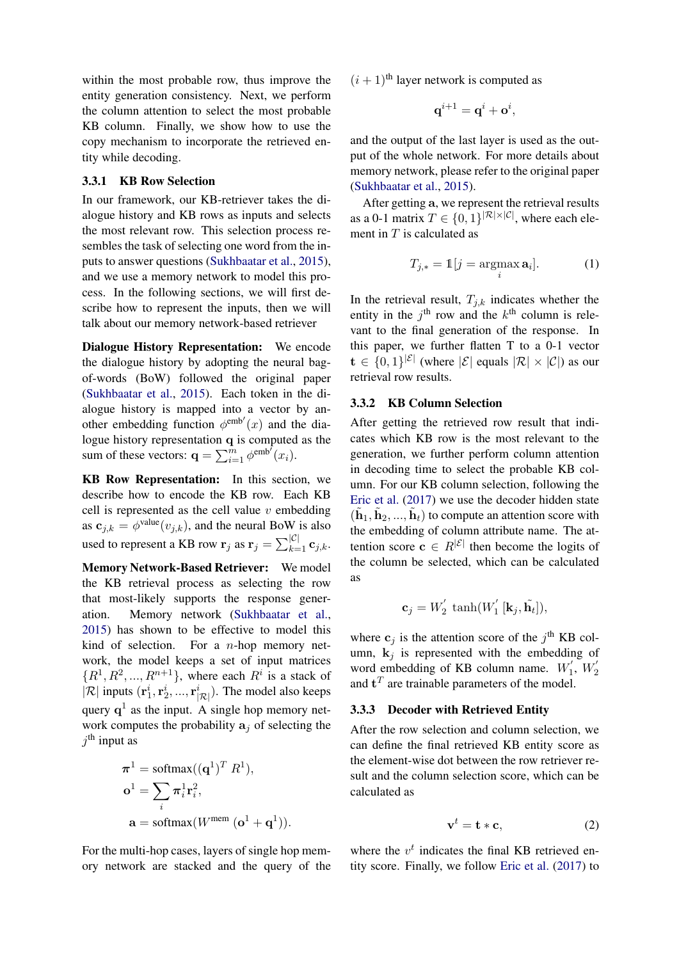within the most probable row, thus improve the entity generation consistency. Next, we perform the column attention to select the most probable KB column. Finally, we show how to use the copy mechanism to incorporate the retrieved entity while decoding.

# <span id="page-3-0"></span>3.3.1 KB Row Selection

In our framework, our KB-retriever takes the dialogue history and KB rows as inputs and selects the most relevant row. This selection process resembles the task of selecting one word from the inputs to answer questions [\(Sukhbaatar et al.,](#page-9-4) [2015\)](#page-9-4), and we use a memory network to model this process. In the following sections, we will first describe how to represent the inputs, then we will talk about our memory network-based retriever

Dialogue History Representation: We encode the dialogue history by adopting the neural bagof-words (BoW) followed the original paper [\(Sukhbaatar et al.,](#page-9-4) [2015\)](#page-9-4). Each token in the dialogue history is mapped into a vector by another embedding function  $\phi^{\text{emb}'}(x)$  and the dialogue history representation q is computed as the sum of these vectors:  $\mathbf{q} = \sum_{i=1}^{\overline{m}} \phi^{\text{emb}^f}(x_i)$ .

KB Row Representation: In this section, we describe how to encode the KB row. Each KB cell is represented as the cell value  $v$  embedding as  $\mathbf{c}_{j,k} = \phi^{\text{value}}(v_{j,k})$ , and the neural BoW is also used to represent a KB row  $\mathbf{r}_j$  as  $\mathbf{r}_j = \sum_{k=1}^{|C|} \mathbf{c}_{j,k}$ .

Memory Network-Based Retriever: We model the KB retrieval process as selecting the row that most-likely supports the response generation. Memory network [\(Sukhbaatar et al.,](#page-9-4) [2015\)](#page-9-4) has shown to be effective to model this kind of selection. For a  $n$ -hop memory network, the model keeps a set of input matrices  $\{R^1, R^2, ..., R^{n+1}\}$ , where each  $R^i$  is a stack of  $|\mathcal{R}|$  inputs  $(\mathbf{r}_1^i, \mathbf{r}_2^i, ..., \mathbf{r}_{|\mathcal{R}|}^i)$ . The model also keeps query  $q^1$  as the input. A single hop memory network computes the probability  $a_i$  of selecting the  $j<sup>th</sup>$  input as

$$
\pi^{1} = \text{softmax}((\mathbf{q}^{1})^{T} R^{1}),
$$

$$
\mathbf{o}^{1} = \sum_{i} \pi_{i}^{1} \mathbf{r}_{i}^{2},
$$

$$
\mathbf{a} = \text{softmax}(W^{\text{mem}} (\mathbf{o}^{1} + \mathbf{q}^{1})).
$$

For the multi-hop cases, layers of single hop memory network are stacked and the query of the  $(i + 1)$ <sup>th</sup> layer network is computed as

$$
\mathbf{q}^{i+1} = \mathbf{q}^i + \mathbf{o}^i,
$$

and the output of the last layer is used as the output of the whole network. For more details about memory network, please refer to the original paper [\(Sukhbaatar et al.,](#page-9-4) [2015\)](#page-9-4).

After getting a, we represent the retrieval results as a 0-1 matrix  $T \in \{0,1\}^{|\mathcal{R}| \times |\mathcal{C}|}$ , where each element in  $T$  is calculated as

<span id="page-3-1"></span>
$$
T_{j,*} = \mathbb{1}[j = \underset{i}{\operatorname{argmax}} \, \mathbf{a}_i]. \tag{1}
$$

In the retrieval result,  $T_{j,k}$  indicates whether the entity in the  $j^{\text{th}}$  row and the  $k^{\text{th}}$  column is relevant to the final generation of the response. In this paper, we further flatten T to a 0-1 vector  $\mathbf{t} \in \{0,1\}^{|\mathcal{E}|}$  (where  $|\mathcal{E}|$  equals  $|\mathcal{R}| \times |\mathcal{C}|$ ) as our retrieval row results.

#### 3.3.2 KB Column Selection

After getting the retrieved row result that indicates which KB row is the most relevant to the generation, we further perform column attention in decoding time to select the probable KB column. For our KB column selection, following the [Eric et al.](#page-8-5) [\(2017\)](#page-8-5) we use the decoder hidden state  $(\tilde{\mathbf{h}}_1, \tilde{\mathbf{h}}_2, ..., \tilde{\mathbf{h}}_t)$  to compute an attention score with the embedding of column attribute name. The attention score  $\mathbf{c} \in R^{|\mathcal{E}|}$  then become the logits of the column be selected, which can be calculated as

$$
\mathbf{c}_j = W_2^{'} \tanh(W_1^{'}\left[\mathbf{k}_j, \tilde{\mathbf{h}_t}\right]),
$$

where  $c_j$  is the attention score of the  $j<sup>th</sup>$  KB column,  $k_j$  is represented with the embedding of word embedding of KB column name.  $W'_1$  $V_{1}^{'}$ ,  $W_{2}^{'}$ 2 and  $t^T$  are trainable parameters of the model.

### 3.3.3 Decoder with Retrieved Entity

After the row selection and column selection, we can define the final retrieved KB entity score as the element-wise dot between the row retriever result and the column selection score, which can be calculated as

$$
\mathbf{v}^t = \mathbf{t} * \mathbf{c},\tag{2}
$$

where the  $v<sup>t</sup>$  indicates the final KB retrieved entity score. Finally, we follow [Eric et al.](#page-8-5) [\(2017\)](#page-8-5) to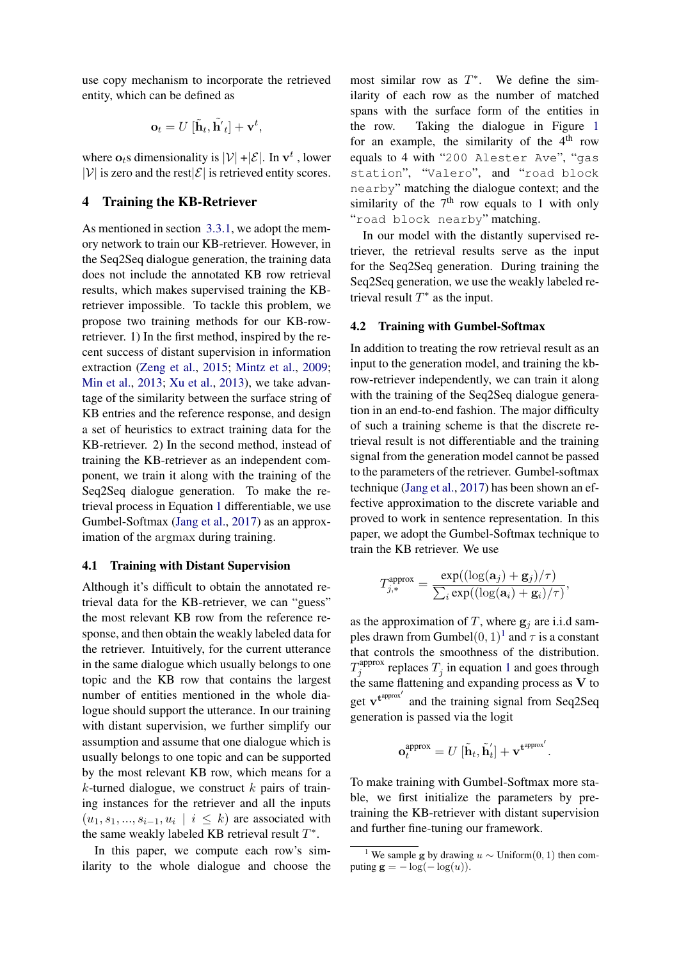use copy mechanism to incorporate the retrieved entity, which can be defined as

$$
\mathbf{o}_t = U\left[\tilde{\mathbf{h}}_t, \tilde{\mathbf{h}'}_t\right] + \mathbf{v}^t,
$$

where  $\mathbf{o}_t$ s dimensionality is  $|\mathcal{V}| + |\mathcal{E}|$ . In  $\mathbf{v}^t$ , lower  $|\mathcal{V}|$  is zero and the rest $|\mathcal{E}|$  is retrieved entity scores.

# 4 Training the KB-Retriever

As mentioned in section [3.3.1,](#page-3-0) we adopt the memory network to train our KB-retriever. However, in the Seq2Seq dialogue generation, the training data does not include the annotated KB row retrieval results, which makes supervised training the KBretriever impossible. To tackle this problem, we propose two training methods for our KB-rowretriever. 1) In the first method, inspired by the recent success of distant supervision in information extraction [\(Zeng et al.,](#page-9-5) [2015;](#page-9-5) [Mintz et al.,](#page-8-11) [2009;](#page-8-11) [Min et al.,](#page-8-12) [2013;](#page-8-12) [Xu et al.,](#page-9-6) [2013\)](#page-9-6), we take advantage of the similarity between the surface string of KB entries and the reference response, and design a set of heuristics to extract training data for the KB-retriever. 2) In the second method, instead of training the KB-retriever as an independent component, we train it along with the training of the Seq2Seq dialogue generation. To make the retrieval process in Equation [1](#page-3-1) differentiable, we use Gumbel-Softmax [\(Jang et al.,](#page-8-9) [2017\)](#page-8-9) as an approximation of the argmax during training.

#### 4.1 Training with Distant Supervision

Although it's difficult to obtain the annotated retrieval data for the KB-retriever, we can "guess" the most relevant KB row from the reference response, and then obtain the weakly labeled data for the retriever. Intuitively, for the current utterance in the same dialogue which usually belongs to one topic and the KB row that contains the largest number of entities mentioned in the whole dialogue should support the utterance. In our training with distant supervision, we further simplify our assumption and assume that one dialogue which is usually belongs to one topic and can be supported by the most relevant KB row, which means for a  $k$ -turned dialogue, we construct  $k$  pairs of training instances for the retriever and all the inputs  $(u_1, s_1, \ldots, s_{i-1}, u_i \mid i \leq k)$  are associated with the same weakly labeled KB retrieval result  $T^*$ .

In this paper, we compute each row's similarity to the whole dialogue and choose the

most similar row as  $T^*$ . We define the similarity of each row as the number of matched spans with the surface form of the entities in the row. Taking the dialogue in Figure [1](#page-0-0) for an example, the similarity of the  $4<sup>th</sup>$  row equals to 4 with "200 Alester Ave", "gas station", "Valero", and "road block nearby" matching the dialogue context; and the similarity of the  $7<sup>th</sup>$  row equals to 1 with only "road block nearby" matching.

In our model with the distantly supervised retriever, the retrieval results serve as the input for the Seq2Seq generation. During training the Seq2Seq generation, we use the weakly labeled retrieval result  $T^*$  as the input.

# 4.2 Training with Gumbel-Softmax

In addition to treating the row retrieval result as an input to the generation model, and training the kbrow-retriever independently, we can train it along with the training of the Seq2Seq dialogue generation in an end-to-end fashion. The major difficulty of such a training scheme is that the discrete retrieval result is not differentiable and the training signal from the generation model cannot be passed to the parameters of the retriever. Gumbel-softmax technique [\(Jang et al.,](#page-8-9) [2017\)](#page-8-9) has been shown an effective approximation to the discrete variable and proved to work in sentence representation. In this paper, we adopt the Gumbel-Softmax technique to train the KB retriever. We use

$$
T_{j,*}^{\text{approx}} = \frac{\exp((\log(\mathbf{a}_j) + \mathbf{g}_j)/\tau)}{\sum_i \exp((\log(\mathbf{a}_i) + \mathbf{g}_i)/\tau)},
$$

as the approximation of T, where  $g_i$  are i.i.d samples drawn from Gumbel $(0, 1)^1$  $(0, 1)^1$  $(0, 1)^1$  and  $\tau$  is a constant that controls the smoothness of the distribution.  $T_i^{\text{approx}}$ <sup>sapprox</sup> replaces  $T_j$  in equation [1](#page-3-1) and goes through the same flattening and expanding process as V to get  $\mathbf{v}^{\text{t}^{\text{approx}'}}$  and the training signal from Seq2Seq generation is passed via the logit

$$
\mathbf{o}^{\text{approx}}_t = U\left[\tilde{\mathbf{h}}_t, \tilde{\mathbf{h}}_t'\right] + \mathbf{v}^{\text{approx}'}.
$$

To make training with Gumbel-Softmax more stable, we first initialize the parameters by pretraining the KB-retriever with distant supervision and further fine-tuning our framework.

<span id="page-4-0"></span><sup>&</sup>lt;sup>1</sup> We sample g by drawing  $u \sim$  Uniform $(0, 1)$  then computing  $\mathbf{g} = -\log(-\log(u))$ .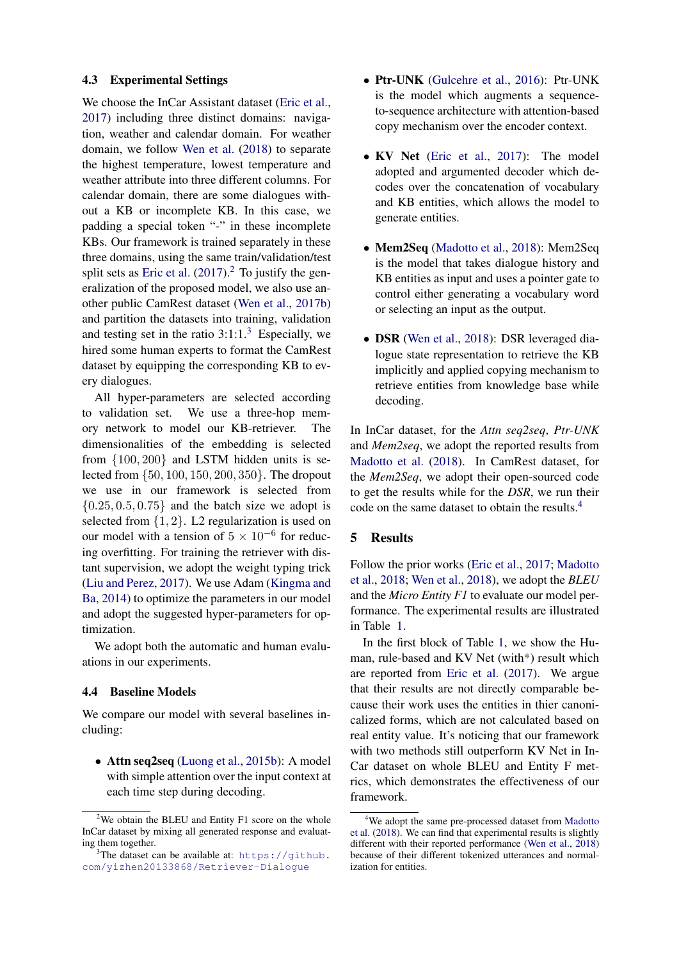### 4.3 Experimental Settings

We choose the InCar Assistant dataset [\(Eric et al.,](#page-8-5) [2017\)](#page-8-5) including three distinct domains: navigation, weather and calendar domain. For weather domain, we follow [Wen et al.](#page-9-1) [\(2018\)](#page-9-1) to separate the highest temperature, lowest temperature and weather attribute into three different columns. For calendar domain, there are some dialogues without a KB or incomplete KB. In this case, we padding a special token "-" in these incomplete KBs. Our framework is trained separately in these three domains, using the same train/validation/test split sets as [Eric et al.](#page-8-5)  $(2017)^2$  $(2017)^2$  $(2017)^2$  To justify the generalization of the proposed model, we also use another public CamRest dataset [\(Wen et al.,](#page-9-2) [2017b\)](#page-9-2) and partition the datasets into training, validation and testing set in the ratio  $3:1:1.^3$  $3:1:1.^3$  Especially, we hired some human experts to format the CamRest dataset by equipping the corresponding KB to every dialogues.

All hyper-parameters are selected according to validation set. We use a three-hop memory network to model our KB-retriever. The dimensionalities of the embedding is selected from {100, 200} and LSTM hidden units is selected from {50, 100, 150, 200, 350}. The dropout we use in our framework is selected from  ${0.25, 0.5, 0.75}$  and the batch size we adopt is selected from  $\{1, 2\}$ . L2 regularization is used on our model with a tension of  $5 \times 10^{-6}$  for reducing overfitting. For training the retriever with distant supervision, we adopt the weight typing trick [\(Liu and Perez,](#page-8-13) [2017\)](#page-8-13). We use Adam [\(Kingma and](#page-8-14) [Ba,](#page-8-14) [2014\)](#page-8-14) to optimize the parameters in our model and adopt the suggested hyper-parameters for optimization.

We adopt both the automatic and human evaluations in our experiments.

# 4.4 Baseline Models

We compare our model with several baselines including:

• Attn seq2seq [\(Luong et al.,](#page-8-15) [2015b\)](#page-8-15): A model with simple attention over the input context at each time step during decoding.

- Ptr-UNK [\(Gulcehre et al.,](#page-8-16) [2016\)](#page-8-16): Ptr-UNK is the model which augments a sequenceto-sequence architecture with attention-based copy mechanism over the encoder context.
- KV Net [\(Eric et al.,](#page-8-5) [2017\)](#page-8-5): The model adopted and argumented decoder which decodes over the concatenation of vocabulary and KB entities, which allows the model to generate entities.
- Mem2Seq [\(Madotto et al.,](#page-8-6) [2018\)](#page-8-6): Mem2Seq is the model that takes dialogue history and KB entities as input and uses a pointer gate to control either generating a vocabulary word or selecting an input as the output.
- **DSR** [\(Wen et al.,](#page-9-1) [2018\)](#page-9-1): DSR leveraged dialogue state representation to retrieve the KB implicitly and applied copying mechanism to retrieve entities from knowledge base while decoding.

In InCar dataset, for the *Attn seq2seq*, *Ptr-UNK* and *Mem2seq*, we adopt the reported results from [Madotto et al.](#page-8-6) [\(2018\)](#page-8-6). In CamRest dataset, for the *Mem2Seq*, we adopt their open-sourced code to get the results while for the *DSR*, we run their code on the same dataset to obtain the results.[4](#page-5-2)

# 5 Results

Follow the prior works [\(Eric et al.,](#page-8-5) [2017;](#page-8-5) [Madotto](#page-8-6) [et al.,](#page-8-6) [2018;](#page-8-6) [Wen et al.,](#page-9-1) [2018\)](#page-9-1), we adopt the *BLEU* and the *Micro Entity F1* to evaluate our model performance. The experimental results are illustrated in Table [1.](#page-6-0)

In the first block of Table [1,](#page-6-0) we show the Human, rule-based and KV Net (with\*) result which are reported from [Eric et al.](#page-8-5) [\(2017\)](#page-8-5). We argue that their results are not directly comparable because their work uses the entities in thier canonicalized forms, which are not calculated based on real entity value. It's noticing that our framework with two methods still outperform KV Net in In-Car dataset on whole BLEU and Entity F metrics, which demonstrates the effectiveness of our framework.

<span id="page-5-0"></span> $2$ We obtain the BLEU and Entity F1 score on the whole InCar dataset by mixing all generated response and evaluating them together.

<span id="page-5-1"></span><sup>&</sup>lt;sup>3</sup>The dataset can be available at: [https://github.](https://github.com/yizhen20133868/Retriever-Dialogue) [com/yizhen20133868/Retriever-Dialogue](https://github.com/yizhen20133868/Retriever-Dialogue)

<span id="page-5-2"></span><sup>4</sup>We adopt the same pre-processed dataset from [Madotto](#page-8-6) [et al.](#page-8-6) [\(2018\)](#page-8-6). We can find that experimental results is slightly different with their reported performance [\(Wen et al.,](#page-9-1) [2018\)](#page-9-1) because of their different tokenized utterances and normalization for entities.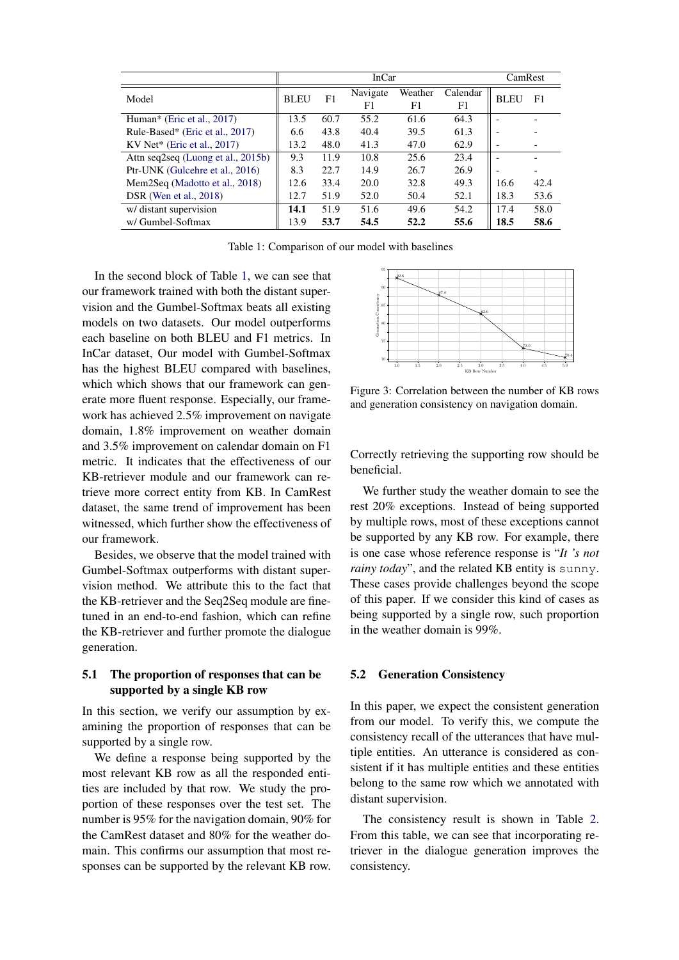<span id="page-6-0"></span>

|                                    | <b>InCar</b><br>CamRest |      |                |               |                |             |      |
|------------------------------------|-------------------------|------|----------------|---------------|----------------|-------------|------|
| Model                              | <b>BLEU</b>             | F1   | Navigate<br>F1 | Weather<br>F1 | Calendar<br>F1 | <b>BLEU</b> | F1   |
| Human* (Eric et al., 2017)         | 13.5                    | 60.7 | 55.2           | 61.6          | 64.3           |             |      |
| Rule-Based* (Eric et al., 2017)    | 6.6                     | 43.8 | 40.4           | 39.5          | 61.3           |             |      |
| KV Net* (Eric et al., $2017$ )     | 13.2                    | 48.0 | 41.3           | 47.0          | 62.9           |             |      |
| Attn seq2seq (Luong et al., 2015b) | 9.3                     | 11.9 | 10.8           | 25.6          | 23.4           |             |      |
| Ptr-UNK (Gulcehre et al., 2016)    | 8.3                     | 22.7 | 14.9           | 26.7          | 26.9           |             |      |
| Mem2Seq (Madotto et al., 2018)     | 12.6                    | 33.4 | 20.0           | 32.8          | 49.3           | 16.6        | 42.4 |
| <b>DSR</b> (Wen et al., 2018)      | 12.7                    | 51.9 | 52.0           | 50.4          | 52.1           | 18.3        | 53.6 |
| w/ distant supervision             | 14.1                    | 51.9 | 51.6           | 49.6          | 54.2           | 17.4        | 58.0 |
| w/ Gumbel-Softmax                  | 13.9                    | 53.7 | 54.5           | 52.2          | 55.6           | 18.5        | 58.6 |

Table 1: Comparison of our model with baselines

In the second block of Table [1,](#page-6-0) we can see that our framework trained with both the distant supervision and the Gumbel-Softmax beats all existing models on two datasets. Our model outperforms each baseline on both BLEU and F1 metrics. In InCar dataset, Our model with Gumbel-Softmax has the highest BLEU compared with baselines, which which shows that our framework can generate more fluent response. Especially, our framework has achieved 2.5% improvement on navigate domain, 1.8% improvement on weather domain and 3.5% improvement on calendar domain on F1 metric. It indicates that the effectiveness of our KB-retriever module and our framework can retrieve more correct entity from KB. In CamRest dataset, the same trend of improvement has been witnessed, which further show the effectiveness of our framework.

Besides, we observe that the model trained with Gumbel-Softmax outperforms with distant supervision method. We attribute this to the fact that the KB-retriever and the Seq2Seq module are finetuned in an end-to-end fashion, which can refine the KB-retriever and further promote the dialogue generation.

# 5.1 The proportion of responses that can be supported by a single KB row

In this section, we verify our assumption by examining the proportion of responses that can be supported by a single row.

We define a response being supported by the most relevant KB row as all the responded entities are included by that row. We study the proportion of these responses over the test set. The number is 95% for the navigation domain, 90% for the CamRest dataset and 80% for the weather domain. This confirms our assumption that most responses can be supported by the relevant KB row.

<span id="page-6-1"></span>

Figure 3: Correlation between the number of KB rows and generation consistency on navigation domain.

Correctly retrieving the supporting row should be beneficial.

We further study the weather domain to see the rest 20% exceptions. Instead of being supported by multiple rows, most of these exceptions cannot be supported by any KB row. For example, there is one case whose reference response is "*It 's not rainy today*", and the related KB entity is sunny. These cases provide challenges beyond the scope of this paper. If we consider this kind of cases as being supported by a single row, such proportion in the weather domain is 99%.

#### 5.2 Generation Consistency

In this paper, we expect the consistent generation from our model. To verify this, we compute the consistency recall of the utterances that have multiple entities. An utterance is considered as consistent if it has multiple entities and these entities belong to the same row which we annotated with distant supervision.

The consistency result is shown in Table [2.](#page-7-0) From this table, we can see that incorporating retriever in the dialogue generation improves the consistency.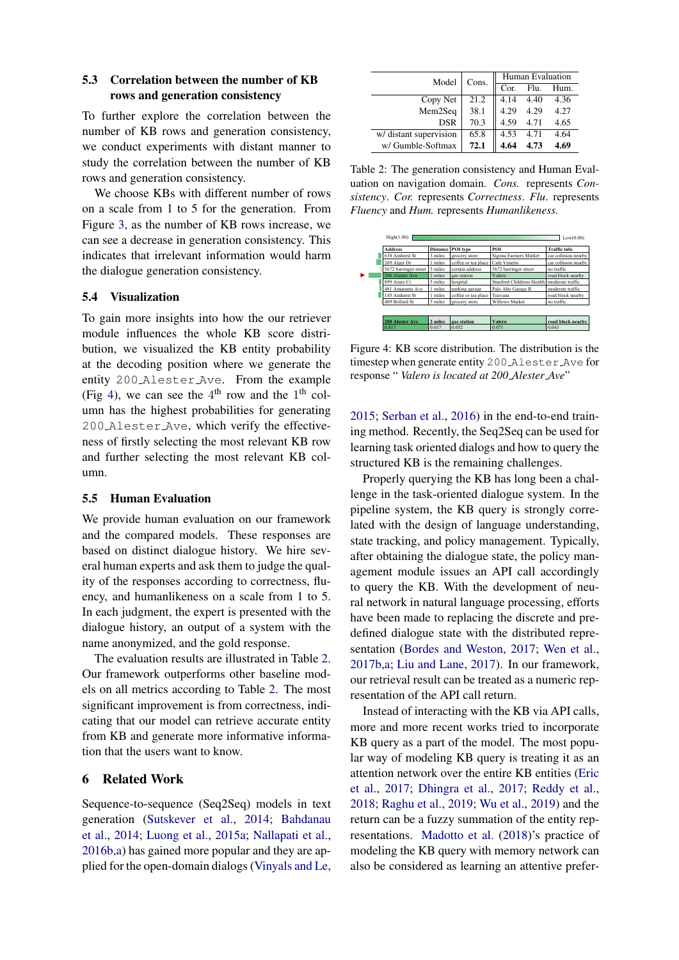# 5.3 Correlation between the number of KB rows and generation consistency

To further explore the correlation between the number of KB rows and generation consistency, we conduct experiments with distant manner to study the correlation between the number of KB rows and generation consistency.

We choose KBs with different number of rows on a scale from 1 to 5 for the generation. From Figure [3,](#page-6-1) as the number of KB rows increase, we can see a decrease in generation consistency. This indicates that irrelevant information would harm the dialogue generation consistency.

# 5.4 Visualization

To gain more insights into how the our retriever module influences the whole KB score distribution, we visualized the KB entity probability at the decoding position where we generate the entity 200 Alester Ave. From the example (Fig [4\)](#page-7-1), we can see the  $4<sup>th</sup>$  row and the  $1<sup>th</sup>$  column has the highest probabilities for generating 200 Alester Ave, which verify the effectiveness of firstly selecting the most relevant KB row and further selecting the most relevant KB column.

#### 5.5 Human Evaluation

We provide human evaluation on our framework and the compared models. These responses are based on distinct dialogue history. We hire several human experts and ask them to judge the quality of the responses according to correctness, fluency, and humanlikeness on a scale from 1 to 5. In each judgment, the expert is presented with the dialogue history, an output of a system with the name anonymized, and the gold response.

The evaluation results are illustrated in Table [2.](#page-7-0) Our framework outperforms other baseline models on all metrics according to Table [2.](#page-7-0) The most significant improvement is from correctness, indicating that our model can retrieve accurate entity from KB and generate more informative information that the users want to know.

# 6 Related Work

Sequence-to-sequence (Seq2Seq) models in text generation [\(Sutskever et al.,](#page-9-0) [2014;](#page-9-0) [Bahdanau](#page-8-0) [et al.,](#page-8-0) [2014;](#page-8-0) [Luong et al.,](#page-8-1) [2015a;](#page-8-1) [Nallapati et al.,](#page-8-2) [2016b](#page-8-2)[,a\)](#page-8-3) has gained more popular and they are applied for the open-domain dialogs [\(Vinyals and Le,](#page-9-7)

<span id="page-7-0"></span>

| Model                  | Cons. | Human Evaluation |      |      |
|------------------------|-------|------------------|------|------|
|                        |       | Cor.             | Flu. | Hum. |
| Copy Net               | 21.2  | 4.14             | 4.40 | 4.36 |
| Mem2Seq                | 38.1  | 4.29             | 4.29 | 4.27 |
| <b>DSR</b>             | 70.3  | 4.59             | 4.71 | 4.65 |
| w/ distant supervision | 65.8  | 4.53             | 4.71 | 4.64 |
| w/ Gumble-Softmax      | 72.1  | 4.64             |      | 4.69 |

Table 2: The generation consistency and Human Evaluation on navigation domain. *Cons.* represents *Consistency*. *Cor.* represents *Correctness*. *Flu*. represents *Fluency* and *Hum.* represents *Humanlikeness.*

<span id="page-7-1"></span>

| <b>Address</b>        |         | Distance POI type   | POI                                          | <b>Traffic</b> info  |
|-----------------------|---------|---------------------|----------------------------------------------|----------------------|
| 638 Amherst St        | 3 miles | grocery store       | Sigona Farmers Market                        | car collision nearby |
| 269 Alger Dr          | 1 miles | coffee or tea place | Cafe Venetia                                 | car collision nearby |
| 5672 barringer street | 5 miles | certain address     | 5672 barringer street                        | no traffic           |
| 200 Alester Ave       | 2 miles | gas station         | Valero                                       | road block nearby    |
| 899 Ames Ct           | 5 miles | hospital            | Stanford Childrens Health   moderate traffic |                      |
| 481 Amaranta Ave      | 1 miles | parking garage      | Palo Alto Garage R                           | moderate traffic     |
| 145 Amherst St        | 1 miles | coffee or tea place | Teavana                                      | road block nearby    |
| 409 Bollard St        | 5 miles | grocery store       | <b>Willows Market</b>                        | no traffic           |
|                       |         |                     |                                              |                      |
| 200 Alester Ave       | 2 miles | gas station         | Valero                                       | road block nearby    |
| 0.817                 | 0.017   | 0.052               | 0.071                                        | 0.043                |

Figure 4: KB score distribution. The distribution is the timestep when generate entity 200 Alester Ave for response " *Valero is located at 200 Alester Ave*"

[2015;](#page-9-7) [Serban et al.,](#page-9-8) [2016\)](#page-9-8) in the end-to-end training method. Recently, the Seq2Seq can be used for learning task oriented dialogs and how to query the structured KB is the remaining challenges.

Properly querying the KB has long been a challenge in the task-oriented dialogue system. In the pipeline system, the KB query is strongly correlated with the design of language understanding, state tracking, and policy management. Typically, after obtaining the dialogue state, the policy management module issues an API call accordingly to query the KB. With the development of neural network in natural language processing, efforts have been made to replacing the discrete and predefined dialogue state with the distributed representation [\(Bordes and Weston,](#page-8-8) [2017;](#page-8-8) [Wen et al.,](#page-9-2) [2017b,](#page-9-2)[a;](#page-9-3) [Liu and Lane,](#page-8-17) [2017\)](#page-8-17). In our framework, our retrieval result can be treated as a numeric representation of the API call return.

Instead of interacting with the KB via API calls, more and more recent works tried to incorporate KB query as a part of the model. The most popular way of modeling KB query is treating it as an attention network over the entire KB entities [\(Eric](#page-8-5) [et al.,](#page-8-5) [2017;](#page-8-5) [Dhingra et al.,](#page-8-18) [2017;](#page-8-18) [Reddy et al.,](#page-8-7) [2018;](#page-8-7) [Raghu et al.,](#page-8-19) [2019;](#page-8-19) [Wu et al.,](#page-9-9) [2019\)](#page-9-9) and the return can be a fuzzy summation of the entity representations. [Madotto et al.](#page-8-6) [\(2018\)](#page-8-6)'s practice of modeling the KB query with memory network can also be considered as learning an attentive prefer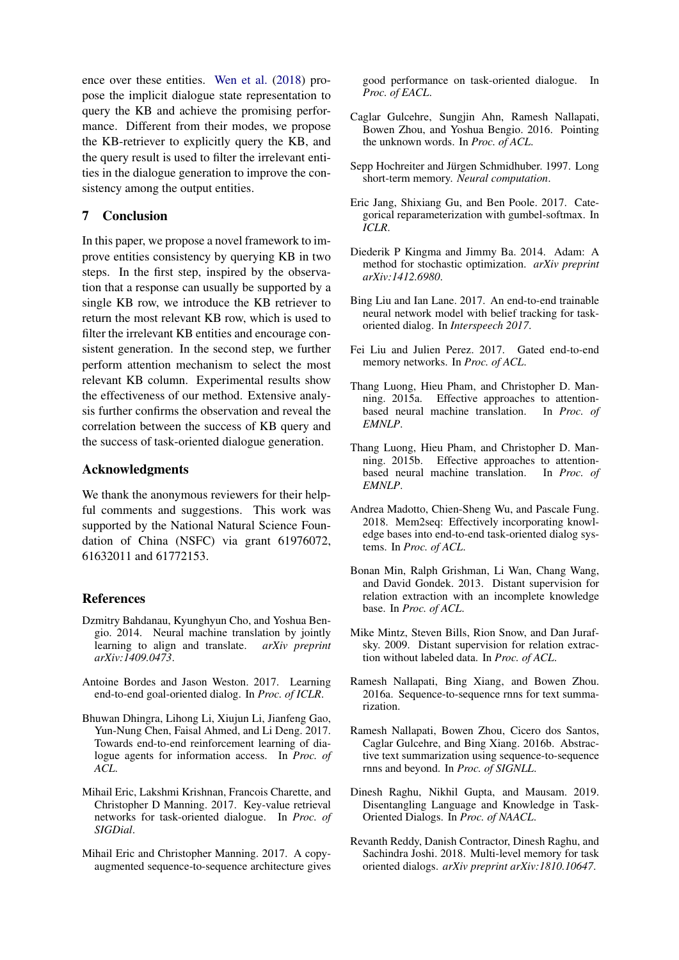ence over these entities. [Wen et al.](#page-9-1) [\(2018\)](#page-9-1) propose the implicit dialogue state representation to query the KB and achieve the promising performance. Different from their modes, we propose the KB-retriever to explicitly query the KB, and the query result is used to filter the irrelevant entities in the dialogue generation to improve the consistency among the output entities.

# 7 Conclusion

In this paper, we propose a novel framework to improve entities consistency by querying KB in two steps. In the first step, inspired by the observation that a response can usually be supported by a single KB row, we introduce the KB retriever to return the most relevant KB row, which is used to filter the irrelevant KB entities and encourage consistent generation. In the second step, we further perform attention mechanism to select the most relevant KB column. Experimental results show the effectiveness of our method. Extensive analysis further confirms the observation and reveal the correlation between the success of KB query and the success of task-oriented dialogue generation.

# Acknowledgments

We thank the anonymous reviewers for their helpful comments and suggestions. This work was supported by the National Natural Science Foundation of China (NSFC) via grant 61976072, 61632011 and 61772153.

# References

- <span id="page-8-0"></span>Dzmitry Bahdanau, Kyunghyun Cho, and Yoshua Bengio. 2014. Neural machine translation by jointly learning to align and translate. *arXiv preprint arXiv:1409.0473*.
- <span id="page-8-8"></span>Antoine Bordes and Jason Weston. 2017. Learning end-to-end goal-oriented dialog. In *Proc. of ICLR*.
- <span id="page-8-18"></span>Bhuwan Dhingra, Lihong Li, Xiujun Li, Jianfeng Gao, Yun-Nung Chen, Faisal Ahmed, and Li Deng. 2017. Towards end-to-end reinforcement learning of dialogue agents for information access. In *Proc. of ACL*.
- <span id="page-8-5"></span>Mihail Eric, Lakshmi Krishnan, Francois Charette, and Christopher D Manning. 2017. Key-value retrieval networks for task-oriented dialogue. In *Proc. of SIGDial*.
- <span id="page-8-4"></span>Mihail Eric and Christopher Manning. 2017. A copyaugmented sequence-to-sequence architecture gives

good performance on task-oriented dialogue. In *Proc. of EACL*.

- <span id="page-8-16"></span>Caglar Gulcehre, Sungjin Ahn, Ramesh Nallapati, Bowen Zhou, and Yoshua Bengio. 2016. Pointing the unknown words. In *Proc. of ACL*.
- <span id="page-8-10"></span>Sepp Hochreiter and Jürgen Schmidhuber. 1997. Long short-term memory. *Neural computation*.
- <span id="page-8-9"></span>Eric Jang, Shixiang Gu, and Ben Poole. 2017. Categorical reparameterization with gumbel-softmax. In *ICLR*.
- <span id="page-8-14"></span>Diederik P Kingma and Jimmy Ba. 2014. Adam: A method for stochastic optimization. *arXiv preprint arXiv:1412.6980*.
- <span id="page-8-17"></span>Bing Liu and Ian Lane. 2017. An end-to-end trainable neural network model with belief tracking for taskoriented dialog. In *Interspeech 2017*.
- <span id="page-8-13"></span>Fei Liu and Julien Perez. 2017. Gated end-to-end memory networks. In *Proc. of ACL*.
- <span id="page-8-1"></span>Thang Luong, Hieu Pham, and Christopher D. Manning. 2015a. Effective approaches to attentionbased neural machine translation. In *Proc. of EMNLP*.
- <span id="page-8-15"></span>Thang Luong, Hieu Pham, and Christopher D. Manning. 2015b. Effective approaches to attentionbased neural machine translation. In *Proc. of EMNLP*.
- <span id="page-8-6"></span>Andrea Madotto, Chien-Sheng Wu, and Pascale Fung. 2018. Mem2seq: Effectively incorporating knowledge bases into end-to-end task-oriented dialog systems. In *Proc. of ACL*.
- <span id="page-8-12"></span>Bonan Min, Ralph Grishman, Li Wan, Chang Wang, and David Gondek. 2013. Distant supervision for relation extraction with an incomplete knowledge base. In *Proc. of ACL*.
- <span id="page-8-11"></span>Mike Mintz, Steven Bills, Rion Snow, and Dan Jurafsky. 2009. Distant supervision for relation extraction without labeled data. In *Proc. of ACL*.
- <span id="page-8-3"></span>Ramesh Nallapati, Bing Xiang, and Bowen Zhou. 2016a. Sequence-to-sequence rnns for text summarization.
- <span id="page-8-2"></span>Ramesh Nallapati, Bowen Zhou, Cicero dos Santos, Caglar Gulcehre, and Bing Xiang. 2016b. Abstractive text summarization using sequence-to-sequence rnns and beyond. In *Proc. of SIGNLL*.
- <span id="page-8-19"></span>Dinesh Raghu, Nikhil Gupta, and Mausam. 2019. Disentangling Language and Knowledge in Task-Oriented Dialogs. In *Proc. of NAACL*.
- <span id="page-8-7"></span>Revanth Reddy, Danish Contractor, Dinesh Raghu, and Sachindra Joshi. 2018. Multi-level memory for task oriented dialogs. *arXiv preprint arXiv:1810.10647*.